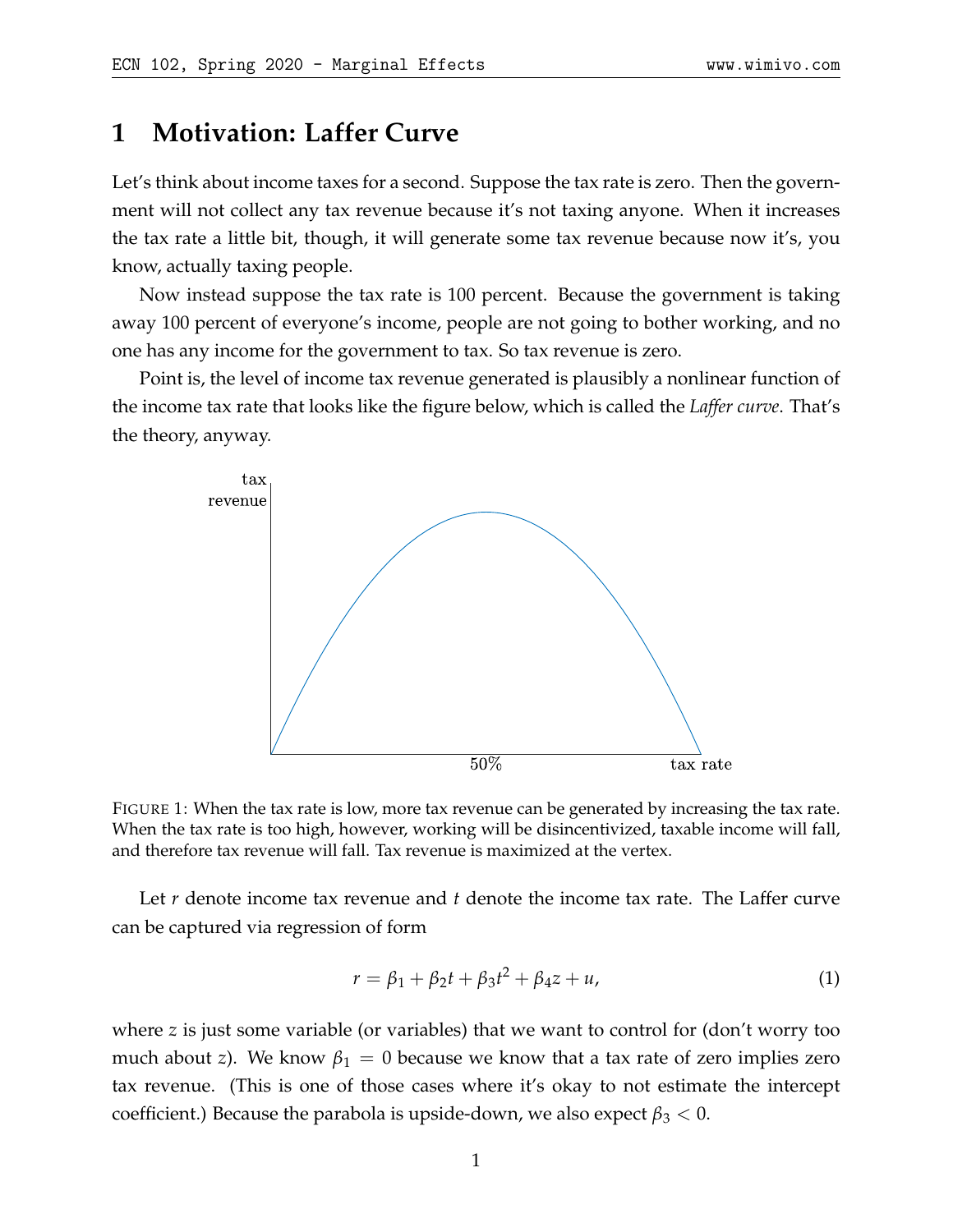## **1 Motivation: Laffer Curve**

Let's think about income taxes for a second. Suppose the tax rate is zero. Then the government will not collect any tax revenue because it's not taxing anyone. When it increases the tax rate a little bit, though, it will generate some tax revenue because now it's, you know, actually taxing people.

Now instead suppose the tax rate is 100 percent. Because the government is taking away 100 percent of everyone's income, people are not going to bother working, and no one has any income for the government to tax. So tax revenue is zero.

Point is, the level of income tax revenue generated is plausibly a nonlinear function of the income tax rate that looks like the figure below, which is called the *Laffer curve*. That's the theory, anyway.



FIGURE 1: When the tax rate is low, more tax revenue can be generated by increasing the tax rate. When the tax rate is too high, however, working will be disincentivized, taxable income will fall, and therefore tax revenue will fall. Tax revenue is maximized at the vertex.

Let *r* denote income tax revenue and *t* denote the income tax rate. The Laffer curve can be captured via regression of form

$$
r = \beta_1 + \beta_2 t + \beta_3 t^2 + \beta_4 z + u,\tag{1}
$$

where *z* is just some variable (or variables) that we want to control for (don't worry too much about *z*). We know  $\beta_1 = 0$  because we know that a tax rate of zero implies zero tax revenue. (This is one of those cases where it's okay to not estimate the intercept coefficient.) Because the parabola is upside-down, we also expect  $\beta_3 < 0$ .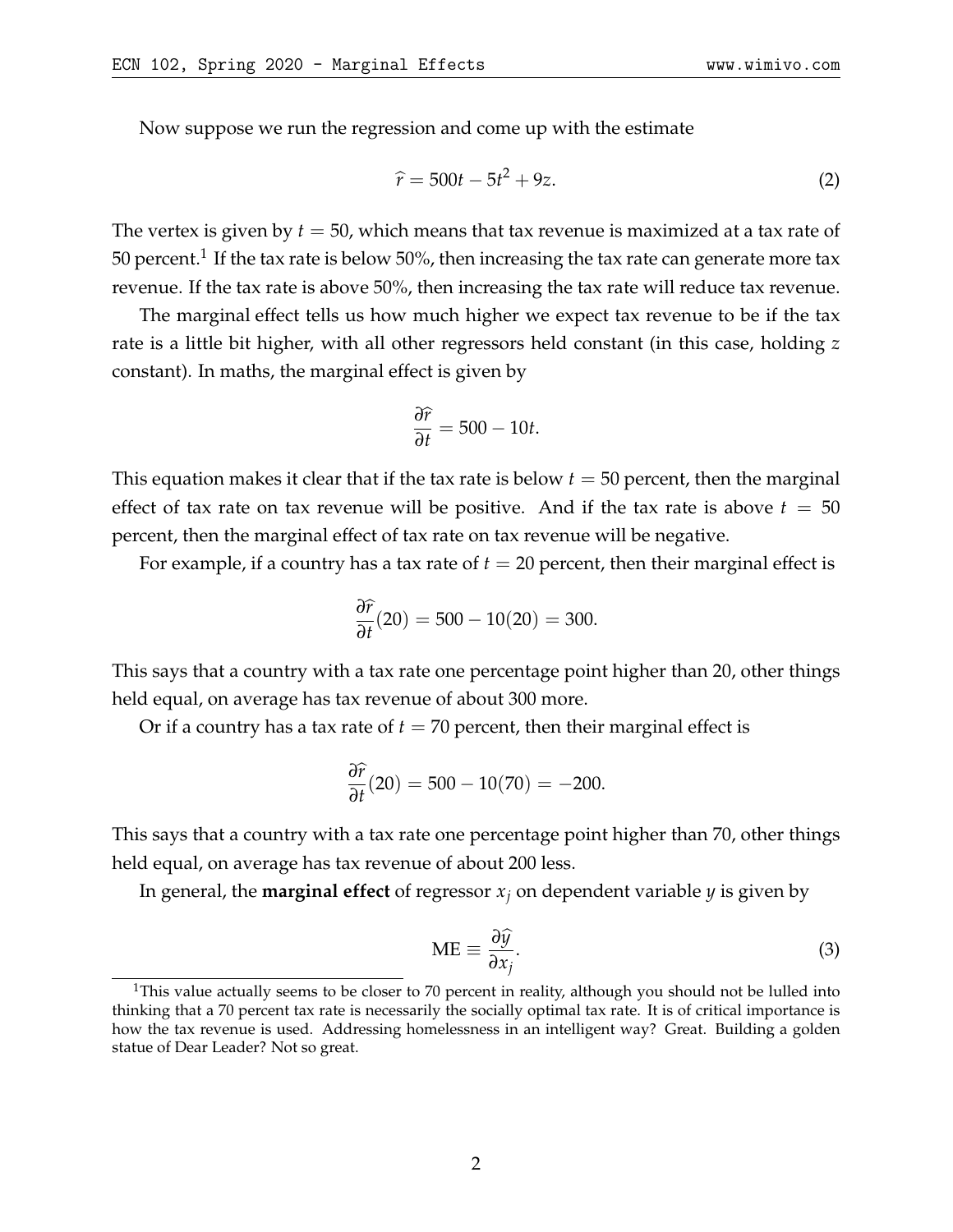Now suppose we run the regression and come up with the estimate

$$
\hat{r} = 500t - 5t^2 + 9z.
$$
 (2)

The vertex is given by *t* = 50, which means that tax revenue is maximized at a tax rate of 50 percent. $^{\rm 1}$  $^{\rm 1}$  $^{\rm 1}$  If the tax rate is below 50%, then increasing the tax rate can generate more tax revenue. If the tax rate is above 50%, then increasing the tax rate will reduce tax revenue.

The marginal effect tells us how much higher we expect tax revenue to be if the tax rate is a little bit higher, with all other regressors held constant (in this case, holding *z* constant). In maths, the marginal effect is given by

$$
\frac{\partial \widehat{r}}{\partial t} = 500 - 10t.
$$

This equation makes it clear that if the tax rate is below *t* = 50 percent, then the marginal effect of tax rate on tax revenue will be positive. And if the tax rate is above  $t = 50$ percent, then the marginal effect of tax rate on tax revenue will be negative.

For example, if a country has a tax rate of  $t = 20$  percent, then their marginal effect is

$$
\frac{\partial \hat{r}}{\partial t}(20) = 500 - 10(20) = 300.
$$

This says that a country with a tax rate one percentage point higher than 20, other things held equal, on average has tax revenue of about 300 more.

Or if a country has a tax rate of  $t = 70$  percent, then their marginal effect is

$$
\frac{\partial \hat{r}}{\partial t}(20) = 500 - 10(70) = -200.
$$

This says that a country with a tax rate one percentage point higher than 70, other things held equal, on average has tax revenue of about 200 less.

In general, the **marginal effect** of regressor *x<sup>j</sup>* on dependent variable *y* is given by

$$
ME \equiv \frac{\partial \hat{y}}{\partial x_j}.
$$
 (3)

<span id="page-1-0"></span><sup>&</sup>lt;sup>1</sup>This value actually seems to be closer to 70 percent in reality, although you should not be lulled into thinking that a 70 percent tax rate is necessarily the socially optimal tax rate. It is of critical importance is how the tax revenue is used. Addressing homelessness in an intelligent way? Great. Building a golden statue of Dear Leader? Not so great.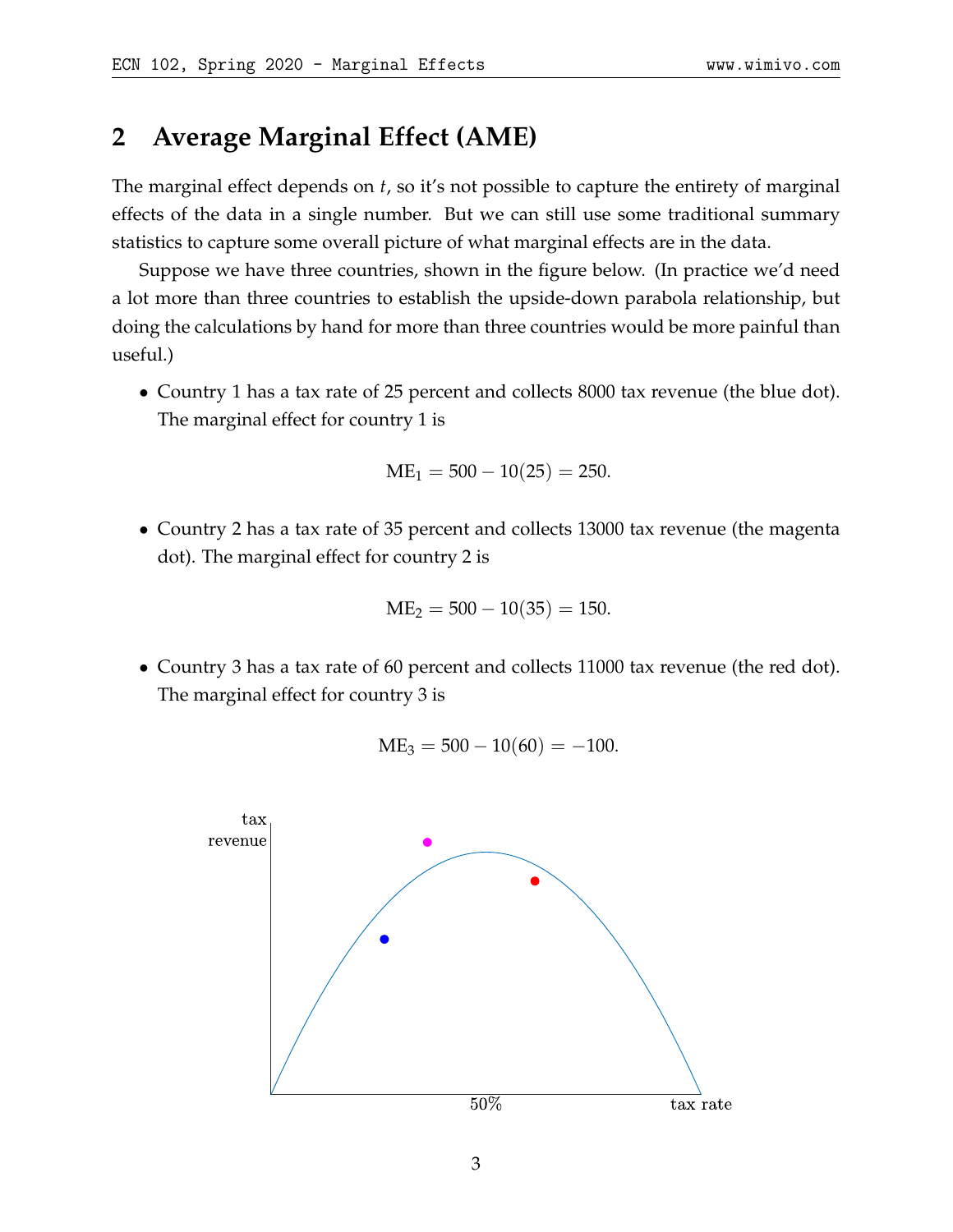## **2 Average Marginal Effect (AME)**

The marginal effect depends on *t*, so it's not possible to capture the entirety of marginal effects of the data in a single number. But we can still use some traditional summary statistics to capture some overall picture of what marginal effects are in the data.

Suppose we have three countries, shown in the figure below. (In practice we'd need a lot more than three countries to establish the upside-down parabola relationship, but doing the calculations by hand for more than three countries would be more painful than useful.)

• Country 1 has a tax rate of 25 percent and collects 8000 tax revenue (the blue dot). The marginal effect for country 1 is

$$
ME_1 = 500 - 10(25) = 250.
$$

• Country 2 has a tax rate of 35 percent and collects 13000 tax revenue (the magenta dot). The marginal effect for country 2 is

$$
ME_2 = 500 - 10(35) = 150.
$$

• Country 3 has a tax rate of 60 percent and collects 11000 tax revenue (the red dot). The marginal effect for country 3 is

$$
ME_3 = 500 - 10(60) = -100.
$$

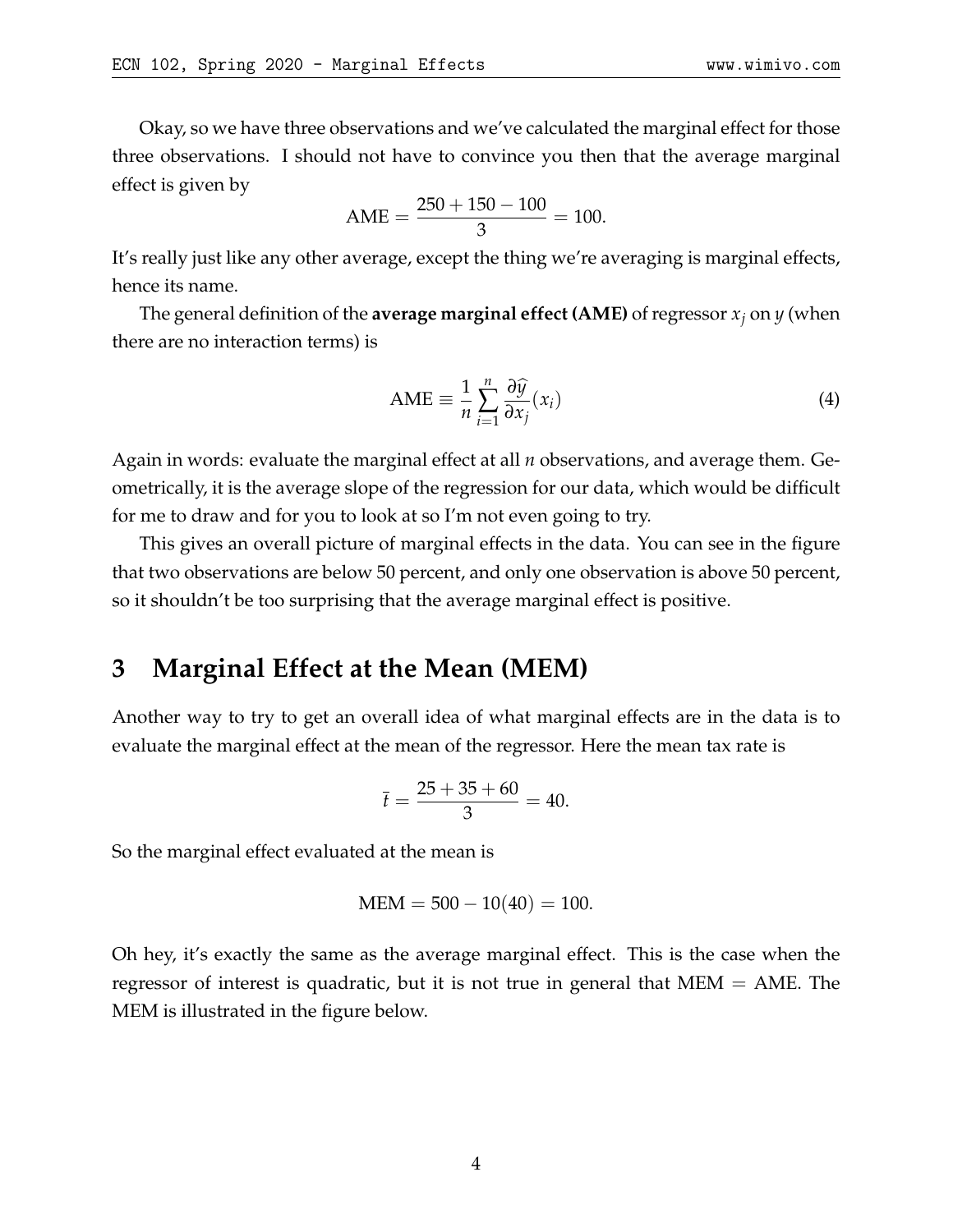Okay, so we have three observations and we've calculated the marginal effect for those three observations. I should not have to convince you then that the average marginal effect is given by

$$
AME = \frac{250 + 150 - 100}{3} = 100.
$$

It's really just like any other average, except the thing we're averaging is marginal effects, hence its name.

The general definition of the **average marginal effect (AME)** of regressor *x<sup>j</sup>* on *y* (when there are no interaction terms) is

$$
AME \equiv \frac{1}{n} \sum_{i=1}^{n} \frac{\partial \widehat{y}}{\partial x_j}(x_i)
$$
\n(4)

Again in words: evaluate the marginal effect at all *n* observations, and average them. Geometrically, it is the average slope of the regression for our data, which would be difficult for me to draw and for you to look at so I'm not even going to try.

This gives an overall picture of marginal effects in the data. You can see in the figure that two observations are below 50 percent, and only one observation is above 50 percent, so it shouldn't be too surprising that the average marginal effect is positive.

## **3 Marginal Effect at the Mean (MEM)**

Another way to try to get an overall idea of what marginal effects are in the data is to evaluate the marginal effect at the mean of the regressor. Here the mean tax rate is

$$
\bar{t} = \frac{25 + 35 + 60}{3} = 40.
$$

So the marginal effect evaluated at the mean is

$$
MEM = 500 - 10(40) = 100.
$$

Oh hey, it's exactly the same as the average marginal effect. This is the case when the regressor of interest is quadratic, but it is not true in general that MEM = AME. The MEM is illustrated in the figure below.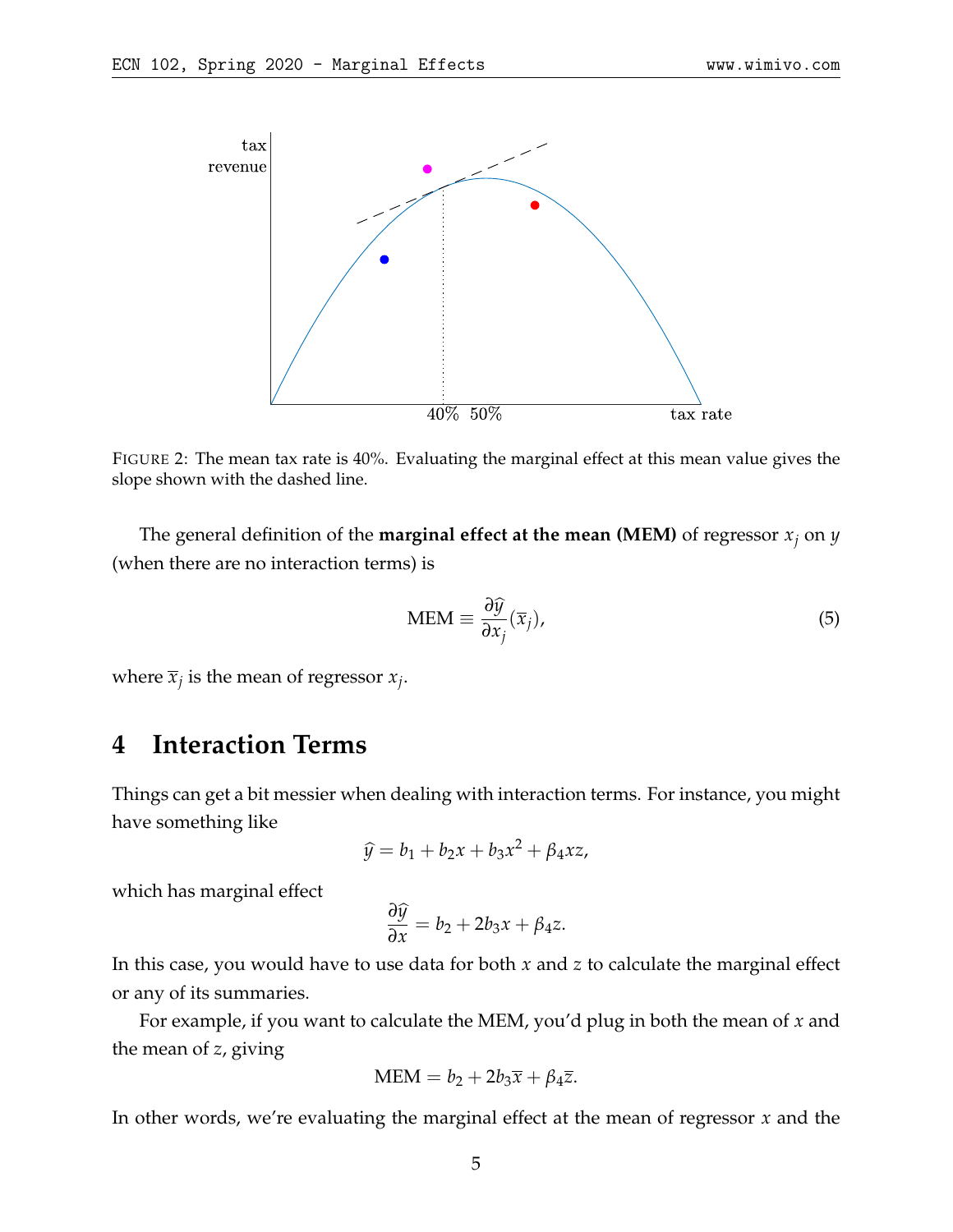

FIGURE 2: The mean tax rate is 40%. Evaluating the marginal effect at this mean value gives the slope shown with the dashed line.

The general definition of the **marginal effect at the mean (MEM)** of regressor *x<sup>j</sup>* on *y* (when there are no interaction terms) is

$$
\text{MEM} \equiv \frac{\partial \hat{y}}{\partial x_j} (\overline{x}_j), \tag{5}
$$

where  $\overline{x}_j$  is the mean of regressor  $x_j$ .

## **4 Interaction Terms**

Things can get a bit messier when dealing with interaction terms. For instance, you might have something like

$$
\widehat{y} = b_1 + b_2 x + b_3 x^2 + \beta_4 x z,
$$

which has marginal effect

$$
\frac{\partial \widehat{y}}{\partial x} = b_2 + 2b_3x + \beta_4 z.
$$

In this case, you would have to use data for both *x* and *z* to calculate the marginal effect or any of its summaries.

For example, if you want to calculate the MEM, you'd plug in both the mean of *x* and the mean of *z*, giving

$$
MEM = b_2 + 2b_3\overline{x} + \beta_4\overline{z}.
$$

In other words, we're evaluating the marginal effect at the mean of regressor *x* and the